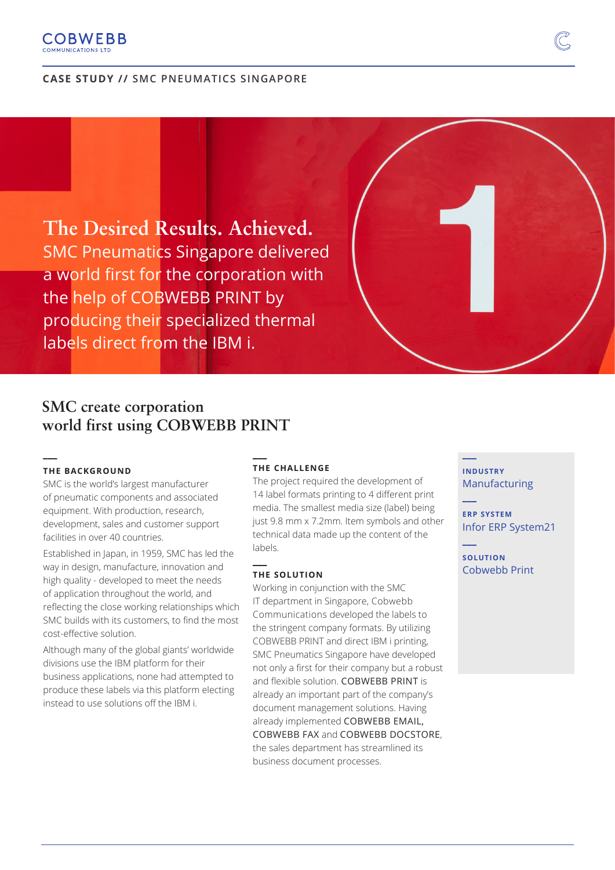# **COBWEBB**

# **CASE STUDY // SMC PNEUMATICS SINGAPORE**

**The Desired Results. Achieved.** SMC Pneumatics Singapore delivered a world first for the corporation with the help of COBWEBB PRINT by producing their specialized thermal labels direct from the IBM i.

# **SMC create corporation world first using COBWEBB PRINT**

## **THE BACKGROUND**

**\_\_\_** 

SMC is the world's largest manufacturer of pneumatic components and associated equipment. With production, research, development, sales and customer support facilities in over 40 countries.

Established in Japan, in 1959, SMC has led the way in design, manufacture, innovation and high quality - developed to meet the needs of application throughout the world, and reflecting the close working relationships which SMC builds with its customers, to find the most cost-effective solution.

Although many of the global giants' worldwide divisions use the IBM platform for their business applications, none had attempted to produce these labels via this platform electing instead to use solutions off the IBM i.

#### **\_\_\_ THE CHALLENGE**

The project required the development of 14 label formats printing to 4 different print media. The smallest media size (label) being just 9.8 mm x 7.2mm. Item symbols and other technical data made up the content of the labels.

## **THE SOLUTION**

**\_\_\_** 

Working in conjunction with the SMC IT department in Singapore, Cobwebb Communications developed the labels to the stringent company formats. By utilizing COBWEBB PRINT and direct IBM i printing, SMC Pneumatics Singapore have developed not only a first for their company but a robust and flexible solution. COBWEBB PRINT is already an important part of the company's document management solutions. Having already implemented COBWEBB EMAIL, COBWEBB FAX and COBWEBB DOCSTORE, the sales department has streamlined its business document processes.

**INDUSTRY** Manufacturing

**\_\_\_**

**\_\_\_**

**\_\_\_**

**ERP SYSTEM** Infor ERP System21

**SOLUTION** Cobwebb Print